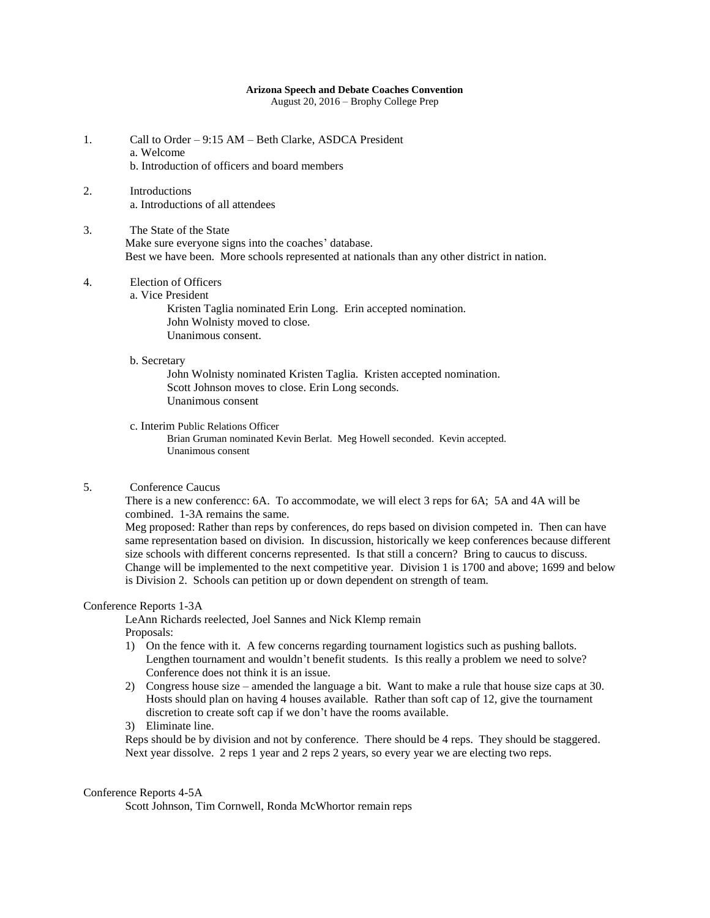## **Arizona Speech and Debate Coaches Convention**

August 20, 2016 – Brophy College Prep

- 1. Call to Order 9:15 AM Beth Clarke, ASDCA President a. Welcome b. Introduction of officers and board members
- 2. Introductions a. Introductions of all attendees
- 3. The State of the State Make sure everyone signs into the coaches' database. Best we have been. More schools represented at nationals than any other district in nation.

## 4. Election of Officers

a. Vice President

Kristen Taglia nominated Erin Long. Erin accepted nomination. John Wolnisty moved to close. Unanimous consent.

b. Secretary

John Wolnisty nominated Kristen Taglia. Kristen accepted nomination. Scott Johnson moves to close. Erin Long seconds. Unanimous consent

c. Interim Public Relations Officer

Brian Gruman nominated Kevin Berlat. Meg Howell seconded. Kevin accepted. Unanimous consent

5. Conference Caucus

There is a new conferencc: 6A. To accommodate, we will elect 3 reps for 6A; 5A and 4A will be combined. 1-3A remains the same.

Meg proposed: Rather than reps by conferences, do reps based on division competed in. Then can have same representation based on division. In discussion, historically we keep conferences because different size schools with different concerns represented. Is that still a concern? Bring to caucus to discuss. Change will be implemented to the next competitive year. Division 1 is 1700 and above; 1699 and below is Division 2. Schools can petition up or down dependent on strength of team.

#### Conference Reports 1-3A

LeAnn Richards reelected, Joel Sannes and Nick Klemp remain Proposals:

- 1) On the fence with it. A few concerns regarding tournament logistics such as pushing ballots. Lengthen tournament and wouldn't benefit students. Is this really a problem we need to solve? Conference does not think it is an issue.
- 2) Congress house size amended the language a bit. Want to make a rule that house size caps at 30. Hosts should plan on having 4 houses available. Rather than soft cap of 12, give the tournament discretion to create soft cap if we don't have the rooms available.

3) Eliminate line.

Reps should be by division and not by conference. There should be 4 reps. They should be staggered. Next year dissolve. 2 reps 1 year and 2 reps 2 years, so every year we are electing two reps.

#### Conference Reports 4-5A

Scott Johnson, Tim Cornwell, Ronda McWhortor remain reps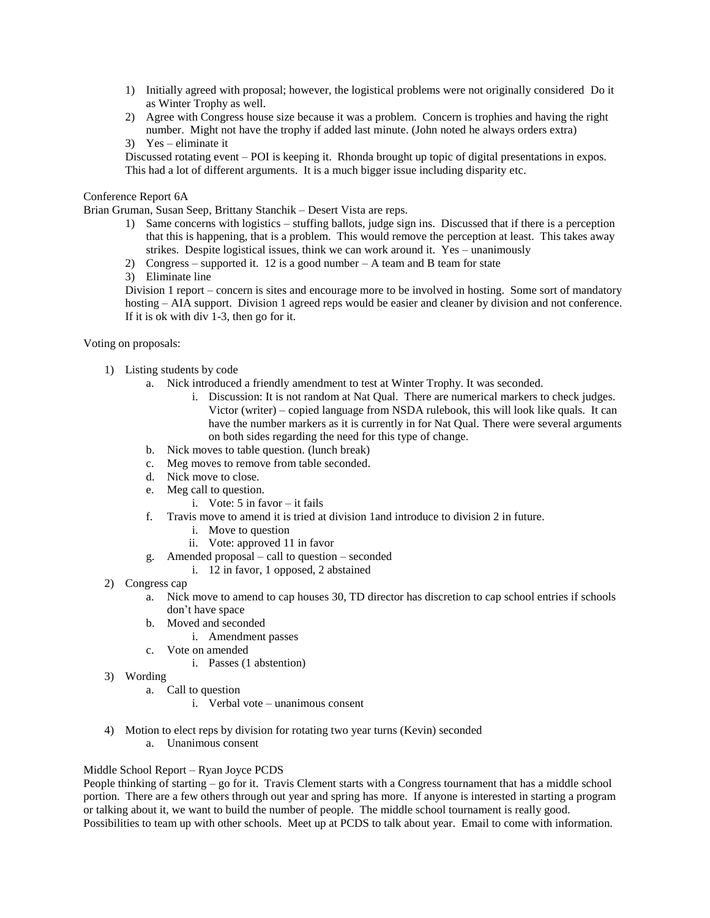- 1) Initially agreed with proposal; however, the logistical problems were not originally considered Do it as Winter Trophy as well.
- 2) Agree with Congress house size because it was a problem. Concern is trophies and having the right number. Might not have the trophy if added last minute. (John noted he always orders extra)
- 3) Yes eliminate it

Discussed rotating event – POI is keeping it. Rhonda brought up topic of digital presentations in expos. This had a lot of different arguments. It is a much bigger issue including disparity etc.

### Conference Report 6A

Brian Gruman, Susan Seep, Brittany Stanchik – Desert Vista are reps.

- 1) Same concerns with logistics stuffing ballots, judge sign ins. Discussed that if there is a perception that this is happening, that is a problem. This would remove the perception at least. This takes away strikes. Despite logistical issues, think we can work around it. Yes – unanimously
- 2) Congress supported it. 12 is a good number A team and B team for state
- 3) Eliminate line

Division 1 report – concern is sites and encourage more to be involved in hosting. Some sort of mandatory hosting – AIA support. Division 1 agreed reps would be easier and cleaner by division and not conference. If it is ok with div 1-3, then go for it.

Voting on proposals:

- 1) Listing students by code
	- a. Nick introduced a friendly amendment to test at Winter Trophy. It was seconded.
		- i. Discussion: It is not random at Nat Qual. There are numerical markers to check judges. Victor (writer) – copied language from NSDA rulebook, this will look like quals. It can have the number markers as it is currently in for Nat Qual. There were several arguments on both sides regarding the need for this type of change.
	- b. Nick moves to table question. (lunch break)
	- c. Meg moves to remove from table seconded.
	- d. Nick move to close.
	- e. Meg call to question.
		- i. Vote: 5 in favor it fails
	- f. Travis move to amend it is tried at division 1and introduce to division 2 in future.
		- i. Move to question
		- ii. Vote: approved 11 in favor
	- g. Amended proposal call to question seconded
		- i. 12 in favor, 1 opposed, 2 abstained
- 2) Congress cap
	- a. Nick move to amend to cap houses 30, TD director has discretion to cap school entries if schools don't have space
	- b. Moved and seconded
		- i. Amendment passes
	- c. Vote on amended
		- i. Passes (1 abstention)
- 3) Wording
	- a. Call to question
		- i. Verbal vote unanimous consent
- 4) Motion to elect reps by division for rotating two year turns (Kevin) seconded a. Unanimous consent

#### Middle School Report – Ryan Joyce PCDS

People thinking of starting – go for it. Travis Clement starts with a Congress tournament that has a middle school portion. There are a few others through out year and spring has more. If anyone is interested in starting a program or talking about it, we want to build the number of people. The middle school tournament is really good. Possibilities to team up with other schools. Meet up at PCDS to talk about year. Email to come with information.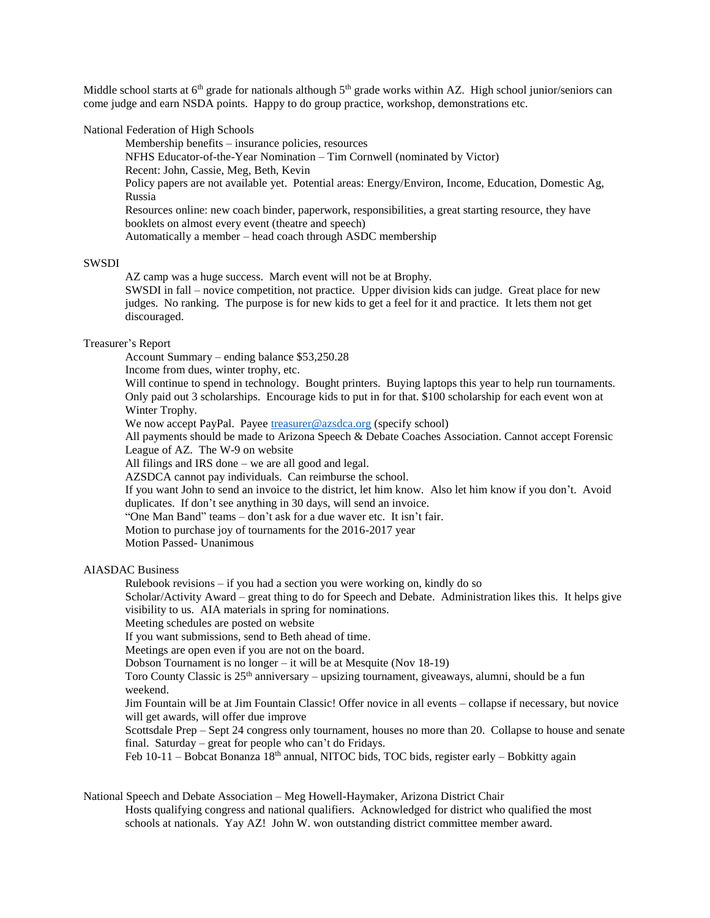Middle school starts at  $6<sup>th</sup>$  grade for nationals although  $5<sup>th</sup>$  grade works within AZ. High school junior/seniors can come judge and earn NSDA points. Happy to do group practice, workshop, demonstrations etc.

#### National Federation of High Schools

Membership benefits – insurance policies, resources NFHS Educator-of-the-Year Nomination – Tim Cornwell (nominated by Victor) Recent: John, Cassie, Meg, Beth, Kevin Policy papers are not available yet. Potential areas: Energy/Environ, Income, Education, Domestic Ag, Russia Resources online: new coach binder, paperwork, responsibilities, a great starting resource, they have booklets on almost every event (theatre and speech) Automatically a member – head coach through ASDC membership

#### SWSDI

AZ camp was a huge success. March event will not be at Brophy.

SWSDI in fall – novice competition, not practice. Upper division kids can judge. Great place for new judges. No ranking. The purpose is for new kids to get a feel for it and practice. It lets them not get discouraged.

# Treasurer's Report

Account Summary – ending balance \$53,250.28

Income from dues, winter trophy, etc.

Will continue to spend in technology. Bought printers. Buying laptops this year to help run tournaments. Only paid out 3 scholarships. Encourage kids to put in for that. \$100 scholarship for each event won at Winter Trophy.

We now accept PayPal. Payee [treasurer@azsdca.org](mailto:treasurer@azsdca.org) (specify school)

All payments should be made to Arizona Speech & Debate Coaches Association. Cannot accept Forensic League of AZ. The W-9 on website

All filings and IRS done – we are all good and legal.

AZSDCA cannot pay individuals. Can reimburse the school.

If you want John to send an invoice to the district, let him know. Also let him know if you don't. Avoid duplicates. If don't see anything in 30 days, will send an invoice.

"One Man Band" teams – don't ask for a due waver etc. It isn't fair.

Motion to purchase joy of tournaments for the 2016-2017 year

Motion Passed- Unanimous

## AIASDAC Business

Rulebook revisions – if you had a section you were working on, kindly do so

Scholar/Activity Award – great thing to do for Speech and Debate. Administration likes this. It helps give visibility to us. AIA materials in spring for nominations.

Meeting schedules are posted on website

If you want submissions, send to Beth ahead of time.

Meetings are open even if you are not on the board.

Dobson Tournament is no longer – it will be at Mesquite (Nov 18-19)

Toro County Classic is  $25<sup>th</sup>$  anniversary – upsizing tournament, giveaways, alumni, should be a fun weekend.

Jim Fountain will be at Jim Fountain Classic! Offer novice in all events – collapse if necessary, but novice will get awards, will offer due improve

Scottsdale Prep – Sept 24 congress only tournament, houses no more than 20. Collapse to house and senate final. Saturday – great for people who can't do Fridays.

Feb  $10-11$  – Bobcat Bonanza 18<sup>th</sup> annual, NITOC bids, TOC bids, register early – Bobkitty again

National Speech and Debate Association – Meg Howell-Haymaker, Arizona District Chair Hosts qualifying congress and national qualifiers. Acknowledged for district who qualified the most schools at nationals. Yay AZ! John W. won outstanding district committee member award.